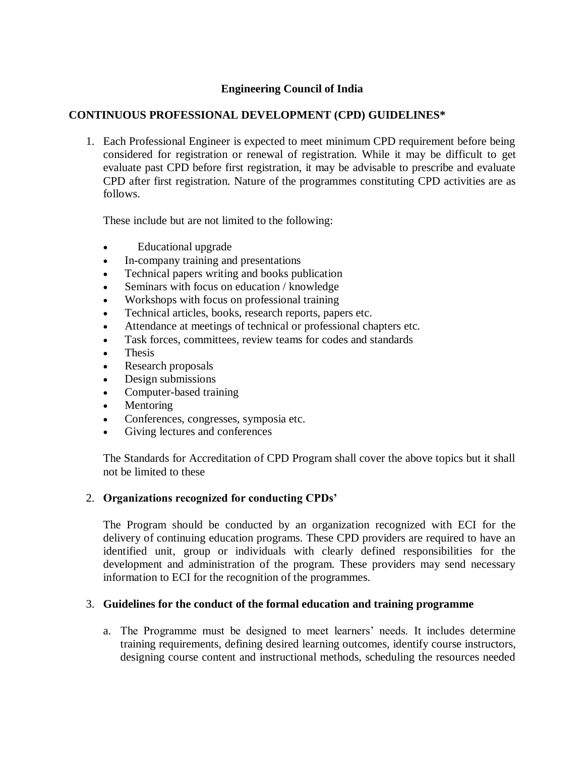# **Engineering Council of India**

## **CONTINUOUS PROFESSIONAL DEVELOPMENT (CPD) GUIDELINES\***

1. Each Professional Engineer is expected to meet minimum CPD requirement before being considered for registration or renewal of registration. While it may be difficult to get evaluate past CPD before first registration, it may be advisable to prescribe and evaluate CPD after first registration. Nature of the programmes constituting CPD activities are as follows.

These include but are not limited to the following:

- Educational upgrade
- In-company training and presentations
- Technical papers writing and books publication
- Seminars with focus on education / knowledge
- Workshops with focus on professional training
- Technical articles, books, research reports, papers etc.
- Attendance at meetings of technical or professional chapters etc.
- Task forces, committees, review teams for codes and standards
- Thesis
- Research proposals
- Design submissions
- Computer-based training
- Mentoring
- Conferences, congresses, symposia etc.
- Giving lectures and conferences

The Standards for Accreditation of CPD Program shall cover the above topics but it shall not be limited to these

#### 2. **Organizations recognized for conducting CPDs'**

The Program should be conducted by an organization recognized with ECI for the delivery of continuing education programs. These CPD providers are required to have an identified unit, group or individuals with clearly defined responsibilities for the development and administration of the program. These providers may send necessary information to ECI for the recognition of the programmes.

#### 3. **Guidelines for the conduct of the formal education and training programme**

a. The Programme must be designed to meet learners' needs. It includes determine training requirements, defining desired learning outcomes, identify course instructors, designing course content and instructional methods, scheduling the resources needed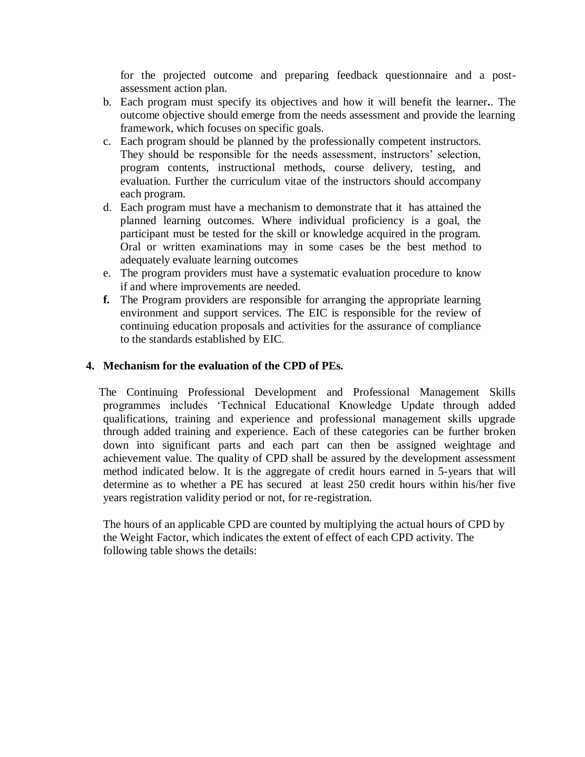for the projected outcome and preparing feedback questionnaire and a postassessment action plan.

- b. Each program must specify its objectives and how it will benefit the learner**.**. The outcome objective should emerge from the needs assessment and provide the learning framework, which focuses on specific goals.
- c. Each program should be planned by the professionally competent instructors. They should be responsible for the needs assessment, instructors' selection, program contents, instructional methods, course delivery, testing, and evaluation. Further the curriculum vitae of the instructors should accompany each program.
- d. Each program must have a mechanism to demonstrate that it has attained the planned learning outcomes. Where individual proficiency is a goal, the participant must be tested for the skill or knowledge acquired in the program. Oral or written examinations may in some cases be the best method to adequately evaluate learning outcomes
- e. The program providers must have a systematic evaluation procedure to know if and where improvements are needed.
- **f.** The Program providers are responsible for arranging the appropriate learning environment and support services. The EIC is responsible for the review of continuing education proposals and activities for the assurance of compliance to the standards established by EIC.

### **4. Mechanism for the evaluation of the CPD of PEs.**

The Continuing Professional Development and Professional Management Skills programmes includes 'Technical Educational Knowledge Update through added qualifications, training and experience and professional management skills upgrade through added training and experience. Each of these categories can be further broken down into significant parts and each part can then be assigned weightage and achievement value. The quality of CPD shall be assured by the development assessment method indicated below. It is the aggregate of credit hours earned in 5-years that will determine as to whether a PE has secured at least 250 credit hours within his/her five years registration validity period or not, for re-registration.

The hours of an applicable CPD are counted by multiplying the actual hours of CPD by the Weight Factor, which indicates the extent of effect of each CPD activity. The following table shows the details: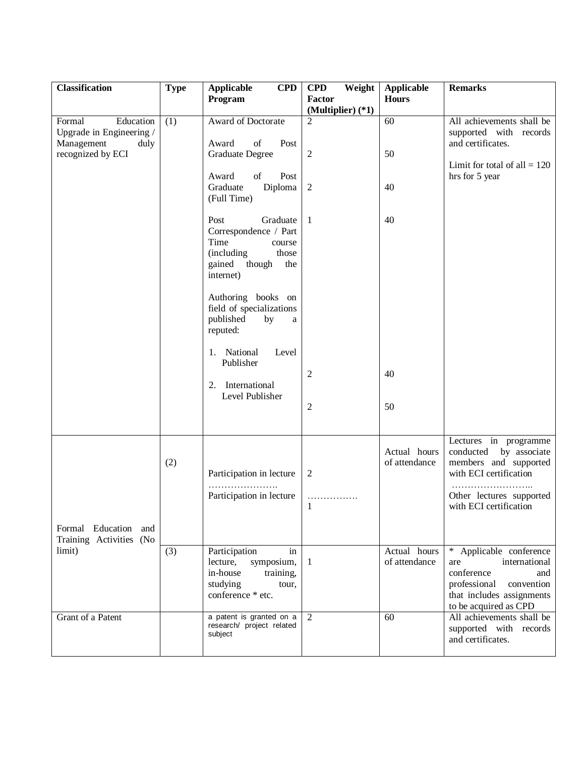| <b>Classification</b>                                                                      | <b>Type</b> | <b>Applicable</b><br><b>CPD</b><br>Program                                                                                                                                                                                                                                                    | <b>CPD</b><br>Weight<br>Factor      | <b>Applicable</b><br><b>Hours</b> | <b>Remarks</b>                                                                                                                                              |
|--------------------------------------------------------------------------------------------|-------------|-----------------------------------------------------------------------------------------------------------------------------------------------------------------------------------------------------------------------------------------------------------------------------------------------|-------------------------------------|-----------------------------------|-------------------------------------------------------------------------------------------------------------------------------------------------------------|
|                                                                                            |             |                                                                                                                                                                                                                                                                                               | (Multiplier) $(*1)$                 |                                   |                                                                                                                                                             |
| Formal<br>Education<br>Upgrade in Engineering /<br>Management<br>duly<br>recognized by ECI | (1)         | Award of Doctorate<br>Award<br>of<br>Post<br><b>Graduate Degree</b><br>of<br>Post<br>Award                                                                                                                                                                                                    | $\overline{c}$<br>2                 | 60<br>50                          | All achievements shall be<br>supported with records<br>and certificates.<br>Limit for total of all $= 120$<br>hrs for 5 year                                |
|                                                                                            |             | Graduate<br>Diploma<br>(Full Time)                                                                                                                                                                                                                                                            | $\overline{2}$                      | 40                                |                                                                                                                                                             |
|                                                                                            |             | Graduate<br>Post<br>Correspondence / Part<br>Time<br>course<br>(including)<br>those<br>though<br>gained<br>the<br>internet)<br>Authoring books on<br>field of specializations<br>published<br>by<br>a<br>reputed:<br>1. National<br>Level<br>Publisher<br>2. International<br>Level Publisher | 1<br>2<br>2                         | 40<br>40<br>50                    |                                                                                                                                                             |
| Formal Education and<br>Training Activities (No<br>limit)                                  | (2)         | Participation in lecture<br>Participation in lecture                                                                                                                                                                                                                                          | $\overline{2}$<br>.<br>$\mathbf{1}$ | Actual hours<br>of attendance     | Lectures in programme<br>conducted<br>by associate<br>members and supported<br>with ECI certification<br>Other lectures supported<br>with ECI certification |
|                                                                                            | (3)         | Participation<br>in<br>symposium,<br>lecture,<br>in-house<br>training,<br>studying<br>tour,<br>conference * etc.                                                                                                                                                                              | 1                                   | Actual hours<br>of attendance     | * Applicable conference<br>international<br>are<br>conference<br>and<br>professional<br>convention<br>that includes assignments<br>to be acquired as CPD    |
| Grant of a Patent                                                                          |             | a patent is granted on a<br>research/ project related<br>subject                                                                                                                                                                                                                              | 2                                   | 60                                | All achievements shall be<br>supported with records<br>and certificates.                                                                                    |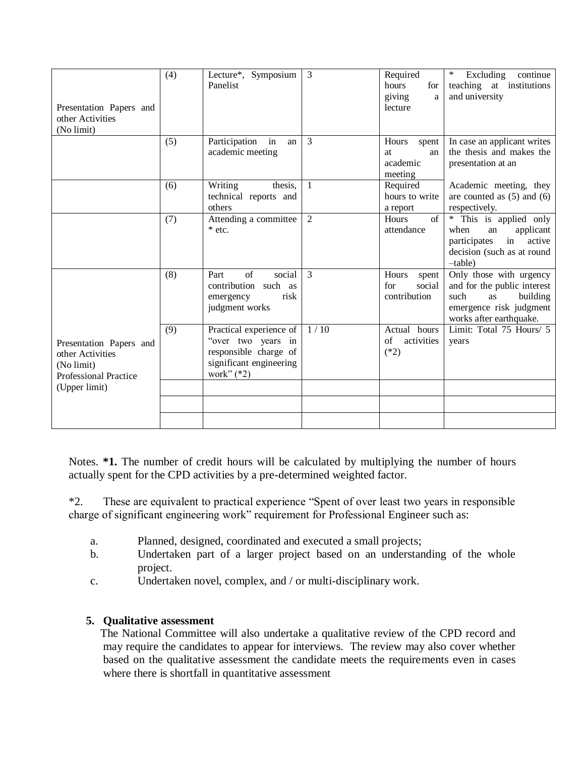| Presentation Papers and<br>other Activities<br>(No limit)                                                  | (4) | Lecture*, Symposium<br>Panelist                                                                                   | 3    | Required<br>hours<br>for<br>giving<br>a<br>lecture | ∗<br>Excluding<br>continue<br>teaching at institutions<br>and university                                                               |
|------------------------------------------------------------------------------------------------------------|-----|-------------------------------------------------------------------------------------------------------------------|------|----------------------------------------------------|----------------------------------------------------------------------------------------------------------------------------------------|
|                                                                                                            | (5) | Participation<br>in<br>an<br>academic meeting                                                                     | 3    | Hours<br>spent<br>at<br>an<br>academic<br>meeting  | In case an applicant writes<br>the thesis and makes the<br>presentation at an                                                          |
|                                                                                                            | (6) | Writing<br>thesis,<br>technical reports and<br>others                                                             | 1    | Required<br>hours to write<br>a report             | Academic meeting, they<br>are counted as $(5)$ and $(6)$<br>respectively.                                                              |
|                                                                                                            | (7) | Attending a committee<br>$*$ etc.                                                                                 | 2    | of<br><b>Hours</b><br>attendance                   | * This is applied only<br>when<br>applicant<br>an<br>in<br>active<br>participates<br>decision (such as at round<br>$-\text{table}$     |
|                                                                                                            | (8) | of<br>social<br>Part<br>contribution such as<br>risk<br>emergency<br>judgment works                               | 3    | Hours<br>spent<br>social<br>for<br>contribution    | Only those with urgency<br>and for the public interest<br>such<br>building<br>as<br>emergence risk judgment<br>works after earthquake. |
| Presentation Papers and<br>other Activities<br>(No limit)<br><b>Professional Practice</b><br>(Upper limit) | (9) | Practical experience of<br>"over two years in<br>responsible charge of<br>significant engineering<br>work" $(*2)$ | 1/10 | Actual hours<br>of<br>activities<br>$(*2)$         | Limit: Total $75$ Hours/ $5$<br>years                                                                                                  |
|                                                                                                            |     |                                                                                                                   |      |                                                    |                                                                                                                                        |

Notes. **\*1.** The number of credit hours will be calculated by multiplying the number of hours actually spent for the CPD activities by a pre-determined weighted factor.

\*2. These are equivalent to practical experience "Spent of over least two years in responsible charge of significant engineering work" requirement for Professional Engineer such as:

- a. Planned, designed, coordinated and executed a small projects;
- b. Undertaken part of a larger project based on an understanding of the whole project.
- c. Undertaken novel, complex, and / or multi-disciplinary work.

# **5. Qualitative assessment**

The National Committee will also undertake a qualitative review of the CPD record and may require the candidates to appear for interviews. The review may also cover whether based on the qualitative assessment the candidate meets the requirements even in cases where there is shortfall in quantitative assessment